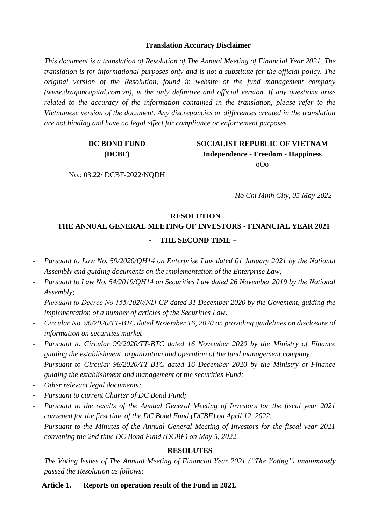#### **Translation Accuracy Disclaimer**

*This document is a translation of Resolution of The Annual Meeting of Financial Year 2021. The translation is for informational purposes only and is not a substitute for the official policy. The original version of the Resolution, found in website of the fund management company [\(www.dragoncapital.com.vn\)](http://www.dragoncapital.com.vn/), is the only definitive and official version. If any questions arise related to the accuracy of the information contained in the translation, please refer to the Vietnamese version of the document. Any discrepancies or differences created in the translation are not binding and have no legal effect for compliance or enforcement purposes.*

> **DC BOND FUND (DCBF)**

**SOCIALIST REPUBLIC OF VIETNAM Independence - Freedom - Happiness** -------oOo-------

**---------------** No.: 03.22/ DCBF-2022/NQDH

*Ho Chi Minh City, 05 May 2022*

#### **RESOLUTION**

# **THE ANNUAL GENERAL MEETING OF INVESTORS - FINANCIAL YEAR 2021** - **THE SECOND TIME –**

- *Pursuant to Law No. 59/2020/QH14 on Enterprise Law dated 01 January 2021 by the National Assembly and guiding documents on the implementation of the Enterprise Law;*
- *Pursuant to Law No. 54/2019/QH14 on Securities Law dated 26 November 2019 by the National Assembly;*
- *Pursuant to Decree No 155/2020/NĐ-CP dated 31 December 2020 by the Govement, guiding the implementation of a number of articles of the Securities Law.*
- *Circular No. 96/2020/TT-BTC dated November 16, 2020 on providing guidelines on disclosure of information on securities market*
- *Pursuant to Circular 99/2020/TT-BTC dated 16 November 2020 by the Ministry of Finance guiding the establishment, organization and operation of the fund management company;*
- *Pursuant to Circular 98/2020/TT-BTC dated 16 December 2020 by the Ministry of Finance guiding the establishment and management of the securities Fund;*
- *Other relevant legal documents;*
- *Pursuant to current Charter of DC Bond Fund;*
- *Pursuant to the results of the Annual General Meeting of Investors for the fiscal year 2021 convened for the first time of the DC Bond Fund (DCBF) on April 12, 2022.*
- *Pursuant to the Minutes of the Annual General Meeting of Investors for the fiscal year 2021 convening the 2nd time DC Bond Fund (DCBF) on May 5, 2022.*

#### **RESOLUTES**

*The Voting Issues of The Annual Meeting of Financial Year 2021 ("The Voting") unanimously passed the Resolution as follows:*

#### **Article 1. Reports on operation result of the Fund in 2021.**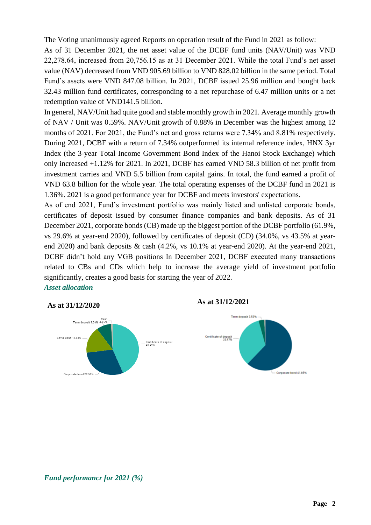The Voting unanimously agreed Reports on operation result of the Fund in 2021 as follow:

As of 31 December 2021, the net asset value of the DCBF fund units (NAV/Unit) was VND 22,278.64, increased from 20,756.15 as at 31 December 2021. While the total Fund's net asset value (NAV) decreased from VND 905.69 billion to VND 828.02 billion in the same period. Total Fund's assets were VND 847.08 billion. In 2021, DCBF issued 25.96 million and bought back 32.43 million fund certificates, corresponding to a net repurchase of 6.47 million units or a net redemption value of VND141.5 billion.

In general, NAV/Unit had quite good and stable monthly growth in 2021. Average monthly growth of NAV / Unit was 0.59%. NAV/Unit growth of 0.88% in December was the highest among 12 months of 2021. For 2021, the Fund's net and gross returns were 7.34% and 8.81% respectively. During 2021, DCBF with a return of 7.34% outperformed its internal reference index, HNX 3yr Index (the 3-year Total Income Government Bond Index of the Hanoi Stock Exchange) which only increased +1.12% for 2021. In 2021, DCBF has earned VND 58.3 billion of net profit from investment carries and VND 5.5 billion from capital gains. In total, the fund earned a profit of VND 63.8 billion for the whole year. The total operating expenses of the DCBF fund in 2021 is 1.36%. 2021 is a good performance year for DCBF and meets investors' expectations.

As of end 2021, Fund's investment portfolio was mainly listed and unlisted corporate bonds, certificates of deposit issued by consumer finance companies and bank deposits. As of 31 December 2021, corporate bonds (CB) made up the biggest portion of the DCBF portfolio (61.9%, vs 29.6% at year-end 2020), followed by certificates of deposit (CD) (34.0%, vs 43.5% at yearend 2020) and bank deposits & cash (4.2%, vs 10.1% at year-end 2020). At the year-end 2021, DCBF didn't hold any VGB positions In December 2021, DCBF executed many transactions related to CBs and CDs which help to increase the average yield of investment portfolio significantly, creates a good basis for starting the year of 2022. *Asset allocation*







*Fund performancr for 2021 (%)*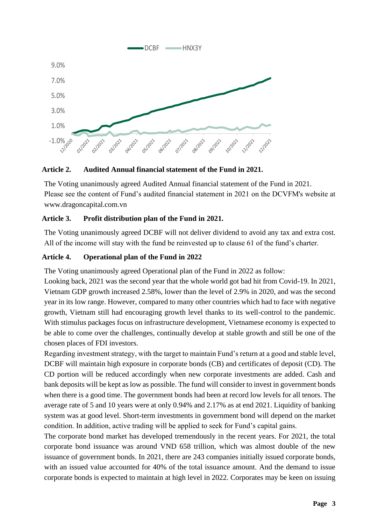

#### **Article 2. Audited Annual financial statement of the Fund in 2021.**

The Voting unanimously agreed Audited Annual financial statement of the Fund in 2021. Please see the content of Fund's audited financial statement in 2021 on the DCVFM's website at www.dragoncapital.com.vn

### **Article 3. Profit distribution plan of the Fund in 2021.**

The Voting unanimously agreed DCBF will not deliver dividend to avoid any tax and extra cost. All of the income will stay with the fund be reinvested up to clause 61 of the fund's charter.

### **Article 4. Operational plan of the Fund in 2022**

The Voting unanimously agreed Operational plan of the Fund in 2022 as follow:

Looking back, 2021 was the second year that the whole world got bad hit from Covid-19. In 2021, Vietnam GDP growth increased 2.58%, lower than the level of 2.9% in 2020, and was the second year in its low range. However, compared to many other countries which had to face with negative growth, Vietnam still had encouraging growth level thanks to its well-control to the pandemic. With stimulus packages focus on infrastructure development, Vietnamese economy is expected to be able to come over the challenges, continually develop at stable growth and still be one of the chosen places of FDI investors.

Regarding investment strategy, with the target to maintain Fund's return at a good and stable level, DCBF will maintain high exposure in corporate bonds (CB) and certificates of deposit (CD). The CD portion will be reduced accordingly when new corporate investments are added. Cash and bank deposits will be kept as low as possible. The fund will consider to invest in government bonds when there is a good time. The government bonds had been at record low levels for all tenors. The average rate of 5 and 10 years were at only 0.94% and 2.17% as at end 2021. Liquidity of banking system was at good level. Short-term investments in government bond will depend on the market condition. In addition, active trading will be applied to seek for Fund's capital gains.

The corporate bond market has developed tremendously in the recent years. For 2021, the total corporate bond issuance was around VND 658 trillion, which was almost double of the new issuance of government bonds. In 2021, there are 243 companies initially issued corporate bonds, with an issued value accounted for 40% of the total issuance amount. And the demand to issue corporate bonds is expected to maintain at high level in 2022. Corporates may be keen on issuing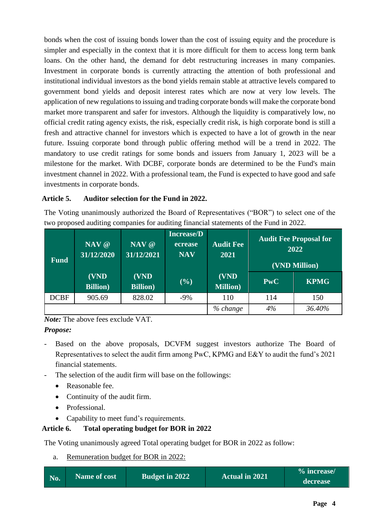bonds when the cost of issuing bonds lower than the cost of issuing equity and the procedure is simpler and especially in the context that it is more difficult for them to access long term bank loans. On the other hand, the demand for debt restructuring increases in many companies. Investment in corporate bonds is currently attracting the attention of both professional and institutional individual investors as the bond yields remain stable at attractive levels compared to government bond yields and deposit interest rates which are now at very low levels. The application of new regulations to issuing and trading corporate bonds will make the corporate bond market more transparent and safer for investors. Although the liquidity is comparatively low, no official credit rating agency exists, the risk, especially credit risk, is high corporate bond is still a fresh and attractive channel for investors which is expected to have a lot of growth in the near future. Issuing corporate bond through public offering method will be a trend in 2022. The mandatory to use credit ratings for some bonds and issuers from January 1, 2023 will be a milestone for the market. With DCBF, corporate bonds are determined to be the Fund's main investment channel in 2022. With a professional team, the Fund is expected to have good and safe investments in corporate bonds.

### **Article 5. Auditor selection for the Fund in 2022.**

The Voting unanimously authorized the Board of Representatives ("BOR") to select one of the two proposed auditing companies for auditing financial statements of the Fund in 2022.

| <b>Fund</b> | NAV @<br>31/12/2020      | NAV @<br>31/12/2021      | <b>Increase/D</b><br>ecrease<br><b>NAV</b> | <b>Audit Fee</b><br>2021 |            | <b>Audit Fee Proposal for</b><br>2022<br>(VND Million) |
|-------------|--------------------------|--------------------------|--------------------------------------------|--------------------------|------------|--------------------------------------------------------|
|             | (VND<br><b>Billion</b> ) | (VND<br><b>Billion</b> ) | (9/0)                                      | (VND<br><b>Million</b> ) | <b>PwC</b> | <b>KPMG</b>                                            |
| <b>DCBF</b> | 905.69                   | 828.02                   | $-9\%$                                     | 110                      | 114        | 150                                                    |
|             |                          |                          |                                            |                          | 4%         | 36.40%                                                 |

*Note:* The above fees exclude VAT.

*Propose:*

- Based on the above proposals, DCVFM suggest investors authorize The Board of Representatives to select the audit firm among PwC, KPMG and E&Y to audit the fund's 2021 financial statements.
- The selection of the audit firm will base on the followings:
	- Reasonable fee.
	- Continuity of the audit firm.
	- Professional.
	- Capability to meet fund's requirements.

# **Article 6. Total operating budget for BOR in 2022**

The Voting unanimously agreed Total operating budget for BOR in 2022 as follow:

a. Remuneration budget for BOR in 2022:

|                    | <b>Name of cost</b> | <b>Budget in 2022</b> | <b>Actual in 2021</b> | % increase/ |
|--------------------|---------------------|-----------------------|-----------------------|-------------|
| $\blacksquare$ No. |                     |                       |                       | decrease    |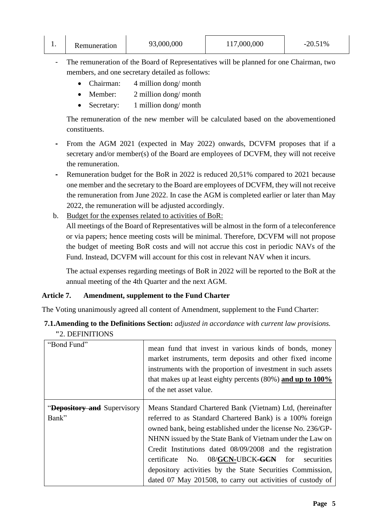| . . | Remuneration | 93,000,000 | 117,000,000 | 20.51% |
|-----|--------------|------------|-------------|--------|
|-----|--------------|------------|-------------|--------|

- The remuneration of the Board of Representatives will be planned for one Chairman, two members, and one secretary detailed as follows:
	- Chairman: 4 million dong/ month
	- Member: 2 million dong/ month
	- Secretary: 1 million dong/ month

The remuneration of the new member will be calculated based on the abovementioned constituents.

- **-** From the AGM 2021 (expected in May 2022) onwards, DCVFM proposes that if a secretary and/or member(s) of the Board are employees of DCVFM, they will not receive the remuneration.
- **-** Remuneration budget for the BoR in 2022 is reduced 20,51% compared to 2021 because one member and the secretary to the Board are employees of DCVFM, they will not receive the remuneration from June 2022. In case the AGM is completed earlier or later than May 2022, the remuneration will be adjusted accordingly.
- b. Budget for the expenses related to activities of BoR:

All meetings of the Board of Representatives will be almost in the form of a teleconference or via papers; hence meeting costs will be minimal. Therefore, DCVFM will not propose the budget of meeting BoR costs and will not accrue this cost in periodic NAVs of the Fund. Instead, DCVFM will account for this cost in relevant NAV when it incurs.

The actual expenses regarding meetings of BoR in 2022 will be reported to the BoR at the annual meeting of the 4th Quarter and the next AGM.

## **Article 7. Amendment, supplement to the Fund Charter**

The Voting unanimously agreed all content of Amendment, supplement to the Fund Charter:

| <b>7.1. Amending to the Definitions Section:</b> adjusted in accordance with current law provisions. |  |  |
|------------------------------------------------------------------------------------------------------|--|--|
| "2. DEFINITIONS                                                                                      |  |  |

| "Bond Fund"                                | mean fund that invest in various kinds of bonds, money<br>market instruments, term deposits and other fixed income<br>instruments with the proportion of investment in such assets<br>that makes up at least eighty percents $(80\%)$ and up to 100%<br>of the net asset value.                                                                                                                                                                                                                                |
|--------------------------------------------|----------------------------------------------------------------------------------------------------------------------------------------------------------------------------------------------------------------------------------------------------------------------------------------------------------------------------------------------------------------------------------------------------------------------------------------------------------------------------------------------------------------|
| <b>Depository and Supervisory</b><br>Bank" | Means Standard Chartered Bank (Vietnam) Ltd, (hereinafter<br>referred to as Standard Chartered Bank) is a 100% foreign<br>owned bank, being established under the license No. 236/GP-<br>NHNN issued by the State Bank of Vietnam under the Law on<br>Credit Institutions dated 08/09/2008 and the registration<br>08/GCN-UBCK- <del>GCN</del> for<br>certificate No.<br>securities<br>depository activities by the State Securities Commission,<br>dated 07 May 201508, to carry out activities of custody of |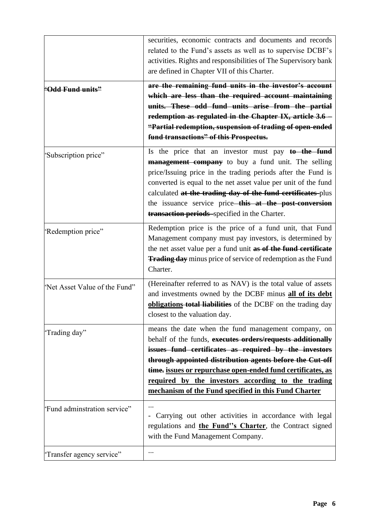|                               | securities, economic contracts and documents and records<br>related to the Fund's assets as well as to supervise DCBF's<br>activities. Rights and responsibilities of The Supervisory bank<br>are defined in Chapter VII of this Charter.                                                                                                                                                                                   |
|-------------------------------|-----------------------------------------------------------------------------------------------------------------------------------------------------------------------------------------------------------------------------------------------------------------------------------------------------------------------------------------------------------------------------------------------------------------------------|
| <u> 'Odd Fund units"</u>      | are the remaining fund units in the investor's account<br>which are less than the required account maintaining<br>units. These odd fund units arise from the partial<br>redemption as regulated in the Chapter IX, article 3.6 -<br>"Partial redemption, suspension of trading of open-ended<br>fund transactions" of this Prospectus.                                                                                      |
| 'Subscription price"          | Is the price that an investor must pay to the fund<br><b>management company</b> to buy a fund unit. The selling<br>price/Issuing price in the trading periods after the Fund is<br>converted is equal to the net asset value per unit of the fund<br>calculated at the trading day of the fund certificates-plus<br>the issuance service price—this at the post-conversion<br>transaction periods-specified in the Charter. |
| 'Redemption price"            | Redemption price is the price of a fund unit, that Fund<br>Management company must pay investors, is determined by<br>the net asset value per a fund unit as of the fund certificate<br><b>Trading day</b> minus price of service of redemption as the Fund<br>Charter.                                                                                                                                                     |
| 'Net Asset Value of the Fund" | (Hereinafter referred to as NAV) is the total value of assets<br>and investments owned by the DCBF minus all of its debt<br>obligations-total liabilities of the DCBF on the trading day<br>closest to the valuation day.                                                                                                                                                                                                   |
| 'Trading day"                 | means the date when the fund management company, on<br>behalf of the funds, executes orders/requests additionally<br>issues fund certificates as required by the investors<br>through appointed distribution agents before the Cut-off<br>time. issues or repurchase open-ended fund certificates, as<br>required by the investors according to the trading<br>mechanism of the Fund specified in this Fund Charter         |
| 'Fund adminstration service"  | Carrying out other activities in accordance with legal<br>regulations and the Fund"s Charter, the Contract signed<br>with the Fund Management Company.                                                                                                                                                                                                                                                                      |
| 'Transfer agency service"     |                                                                                                                                                                                                                                                                                                                                                                                                                             |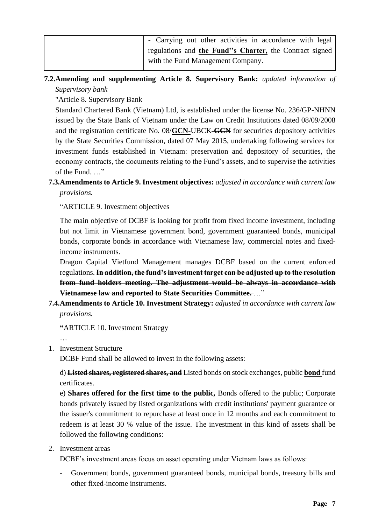| - Carrying out other activities in accordance with legal |  |
|----------------------------------------------------------|--|
| regulations and the Fund''s Charter, the Contract signed |  |
| with the Fund Management Company.                        |  |

# **7.2.Amending and supplementing Article 8. Supervisory Bank:** *updated information of Supervisory bank*

"Article 8. Supervisory Bank

Standard Chartered Bank (Vietnam) Ltd, is established under the license No. 236/GP-NHNN issued by the State Bank of Vietnam under the Law on Credit Institutions dated 08/09/2008 and the registration certificate No. 08/**GCN-**UBCK**-GCN** for securities depository activities by the State Securities Commission, dated 07 May 2015, undertaking following services for investment funds established in Vietnam: preservation and depository of securities, the economy contracts, the documents relating to the Fund's assets, and to supervise the activities of the Fund. …"

# **7.3.Amendments to Article 9. Investment objectives:** *adjusted in accordance with current law provisions.*

"ARTICLE 9. Investment objectives

The main objective of DCBF is looking for profit from fixed income investment, including but not limit in Vietnamese government bond, government guaranteed bonds, municipal bonds, corporate bonds in accordance with Vietnamese law, commercial notes and fixedincome instruments.

Dragon Capital Vietfund Management manages DCBF based on the current enforced regulations. **In addition, the fund's investment target can be adjusted up to the resolution from fund holders meeting. The adjustment would be always in accordance with Vietnamese law and reported to State Securities Committee.** …"

**7.4.Amendments to Article 10. Investment Strategy:** *adjusted in accordance with current law provisions.*

**"**ARTICLE 10. Investment Strategy

…

## 1. Investment Structure

DCBF Fund shall be allowed to invest in the following assets:

d) **Listed shares, registered shares, and** Listed bonds on stock exchanges, public **bond** fund certificates.

e) **Shares offered for the first time to the public,** Bonds offered to the public; Corporate bonds privately issued by listed organizations with credit institutions' payment guarantee or the issuer's commitment to repurchase at least once in 12 months and each commitment to redeem is at least 30 % value of the issue. The investment in this kind of assets shall be followed the following conditions:

#### 2. Investment areas

DCBF's investment areas focus on asset operating under Vietnam laws as follows:

- Government bonds, government guaranteed bonds, municipal bonds, treasury bills and other fixed-income instruments.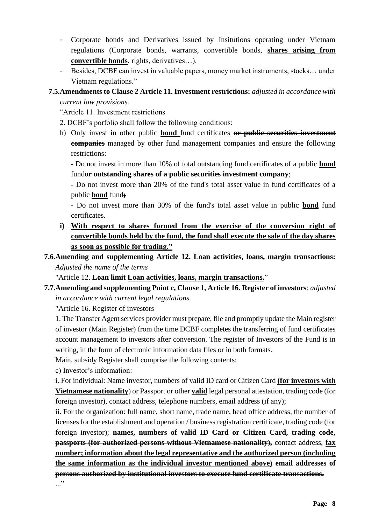- Corporate bonds and Derivatives issued by Insitutions operating under Vietnam regulations (Corporate bonds, warrants, convertible bonds, **shares arising from convertible bonds**, rights, derivatives…).
- Besides, DCBF can invest in valuable papers, money market instruments, stocks… under Vietnam regulations."

#### **7.5.Amendments to Clause 2 Article 11. Investment restrictions:** *adjusted in accordance with current law provisions.*

"Article 11. Investment restrictions

- 2. DCBF's porfolio shall follow the following conditions:
- h) Only invest in other public **bond** fund certificates **or public securities investment companies** managed by other fund management companies and ensure the following restrictions:

- Do not invest in more than 10% of total outstanding fund certificates of a public **bond** fund**or outstanding shares of a public securities investment company**;

- Do not invest more than 20% of the fund's total asset value in fund certificates of a public **bond** fund**;**

- Do not invest more than 30% of the fund's total asset value in public **bond** fund certificates.

**i) With respect to shares formed from the exercise of the conversion right of convertible bonds held by the fund, the fund shall execute the sale of the day shares as soon as possible for trading."**

# **7.6.Amending and supplementing Article 12. Loan activities, loans, margin transactions:** *Adjusted the name of the terms*

"Article 12. **Loan limit Loan activities, loans, margin transactions.**"

**7.7.Amending and supplementing Point c, Clause 1, Article 16. Register of investors**: *adjusted in accordance with current legal regulations.*

"Article 16. Register of investors

1. The Transfer Agent services provider must prepare, file and promptly update the Main register of investor (Main Register) from the time DCBF completes the transferring of fund certificates account management to investors after conversion. The register of Investors of the Fund is in writing, in the form of electronic information data files or in both formats.

Main, subsidy Register shall comprise the following contents:

c) Investor's information:

i. For individual: Name investor, numbers of valid ID card or Citizen Card **(for investors with Vietnamese nationality**) or Passport or other **valid** legal personal attestation, trading code (for foreign investor), contact address, telephone numbers, email address (if any);

ii. For the organization: full name, short name, trade name, head office address, the number of licenses for the establishment and operation / business registration certificate, trading code (for foreign investor); **names, numbers of valid ID Card or Citizen Card, trading code, passports (for authorized persons without Vietnamese nationality),** contact address, **fax number; information about the legal representative and the authorized person (including the same information as the individual investor mentioned above) email addresses of persons authorized by institutional investors to execute fund certificate transactions.** ..."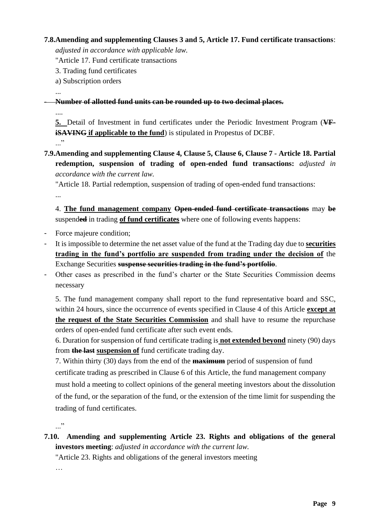#### **7.8.Amending and supplementing Clauses 3 and 5, Article 17. Fund certificate transactions**:

*adjusted in accordance with applicable law.*

"Article 17. Fund certificate transactions

- 3. Trading fund certificates
- a) Subscription orders
- ...

- **Number of allotted fund units can be rounded up to two decimal places.**

....

**5.** Detail of Investment in fund certificates under the Periodic Investment Program (**VFiSAVING** if applicable to the fund) is stipulated in Propestus of DCBF. ..."

**7.9.Amending and supplementing Clause 4, Clause 5, Clause 6, Clause 7 - Article 18. Partial redemption, suspension of trading of open-ended fund transactions:** *adjusted in accordance with the current law.*

"Article 18. Partial redemption, suspension of trading of open-ended fund transactions: ...

4. **The fund management company Open-ended fund certificate transactions** may **be** suspend**ed** in trading **of fund certificates** where one of following events happens:

- Force majeure condition;
- It is impossible to determine the net asset value of the fund at the Trading day due to **securities trading in the fund's portfolio are suspended from trading under the decision of** the Exchange Securities **suspense securities trading in the fund's portfolio**.
- Other cases as prescribed in the fund's charter or the State Securities Commission deems necessary

5. The fund management company shall report to the fund representative board and SSC, within 24 hours, since the occurrence of events specified in Clause 4 of this Article **except at the request of the State Securities Commission** and shall have to resume the repurchase orders of open-ended fund certificate after such event ends.

6. Duration for suspension of fund certificate trading is **not extended beyond** ninety (90) days from **the last suspension of** fund certificate trading day.

7. Within thirty (30) days from the end of the **maximum** period of suspension of fund certificate trading as prescribed in Clause 6 of this Article, the fund management company must hold a meeting to collect opinions of the general meeting investors about the dissolution of the fund, or the separation of the fund, or the extension of the time limit for suspending the trading of fund certificates.

..."

**7.10. Amending and supplementing Article 23. Rights and obligations of the general investors meeting**: *adjusted in accordance with the current law.*

"Article 23. Rights and obligations of the general investors meeting

…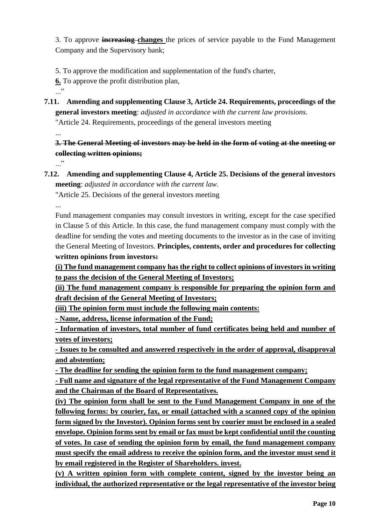3. To approve **increasing changes** the prices of service payable to the Fund Management Company and the Supervisory bank;

5. To approve the modification and supplementation of the fund's charter,

**6.** To approve the profit distribution plan,

..."

**7.11. Amending and supplementing Clause 3, Article 24. Requirements, proceedings of the general investors meeting**: *adjusted in accordance with the current law provisions.* "Article 24. Requirements, proceedings of the general investors meeting

...

**3. The General Meeting of investors may be held in the form of voting at the meeting or collecting written opinions;**

..."

**7.12. Amending and supplementing Clause 4, Article 25. Decisions of the general investors meeting**: *adjusted in accordance with the current law.*

"Article 25. Decisions of the general investors meeting

...

Fund management companies may consult investors in writing, except for the case specified in Clause 5 of this Article. In this case, the fund management company must comply with the deadline for sending the votes and meeting documents to the investor as in the case of inviting the General Meeting of Investors. **Principles, contents, order and procedures for collecting written opinions from investors:**

**(i) The fund management company has the right to collect opinions of investors in writing to pass the decision of the General Meeting of Investors;**

**(ii) The fund management company is responsible for preparing the opinion form and draft decision of the General Meeting of Investors;**

**(iii) The opinion form must include the following main contents:**

**- Name, address, license information of the Fund;**

**- Information of investors, total number of fund certificates being held and number of votes of investors;**

**- Issues to be consulted and answered respectively in the order of approval, disapproval and abstention;**

**- The deadline for sending the opinion form to the fund management company;**

**- Full name and signature of the legal representative of the Fund Management Company and the Chairman of the Board of Representatives.**

**(iv) The opinion form shall be sent to the Fund Management Company in one of the following forms: by courier, fax, or email (attached with a scanned copy of the opinion form signed by the Investor). Opinion forms sent by courier must be enclosed in a sealed envelope. Opinion forms sent by email or fax must be kept confidential until the counting of votes. In case of sending the opinion form by email, the fund management company must specify the email address to receive the opinion form, and the investor must send it by email registered in the Register of Shareholders. invest.**

**(v) A written opinion form with complete content, signed by the investor being an individual, the authorized representative or the legal representative of the investor being**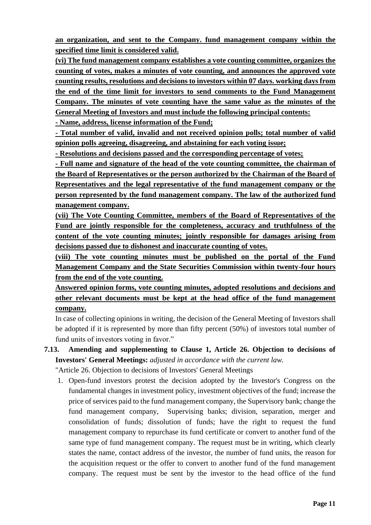**an organization, and sent to the Company. fund management company within the specified time limit is considered valid.**

**(vi) The fund management company establishes a vote counting committee, organizes the counting of votes, makes a minutes of vote counting, and announces the approved vote counting results, resolutions and decisions to investors within 07 days. working days from the end of the time limit for investors to send comments to the Fund Management Company. The minutes of vote counting have the same value as the minutes of the General Meeting of Investors and must include the following principal contents:**

**- Name, address, license information of the Fund;**

**- Total number of valid, invalid and not received opinion polls; total number of valid opinion polls agreeing, disagreeing, and abstaining for each voting issue;**

**- Resolutions and decisions passed and the corresponding percentage of votes;**

**- Full name and signature of the head of the vote counting committee, the chairman of the Board of Representatives or the person authorized by the Chairman of the Board of Representatives and the legal representative of the fund management company or the person represented by the fund management company. The law of the authorized fund management company.**

**(vii) The Vote Counting Committee, members of the Board of Representatives of the Fund are jointly responsible for the completeness, accuracy and truthfulness of the content of the vote counting minutes; jointly responsible for damages arising from decisions passed due to dishonest and inaccurate counting of votes.**

**(viii) The vote counting minutes must be published on the portal of the Fund Management Company and the State Securities Commission within twenty-four hours from the end of the vote counting.**

**Answered opinion forms, vote counting minutes, adopted resolutions and decisions and other relevant documents must be kept at the head office of the fund management company.**

In case of collecting opinions in writing, the decision of the General Meeting of Investors shall be adopted if it is represented by more than fifty percent (50%) of investors total number of fund units of investors voting in favor."

**7.13. Amending and supplementing to Clause 1, Article 26. Objection to decisions of Investors' General Meetings:** *adjusted in accordance with the current law.*

"Article 26. Objection to decisions of Investors' General Meetings

1. Open-fund investors protest the decision adopted by the Investor's Congress on the fundamental changes in investment policy, investment objectives of the fund; increase the price of services paid to the fund management company, the Supervisory bank; change the fund management company, Supervising banks; division, separation, merger and consolidation of funds; dissolution of funds; have the right to request the fund management company to repurchase its fund certificate or convert to another fund of the same type of fund management company. The request must be in writing, which clearly states the name, contact address of the investor, the number of fund units, the reason for the acquisition request or the offer to convert to another fund of the fund management company. The request must be sent by the investor to the head office of the fund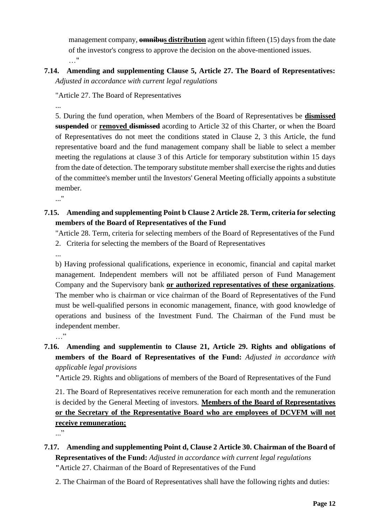management company, **omnibus distribution** agent within fifteen (15) days from the date of the investor's congress to approve the decision on the above-mentioned issues. …"

**7.14. Amending and supplementing Clause 5, Article 27. The Board of Representatives:**  *Adjusted in accordance with current legal regulations*

"Article 27. The Board of Representatives

...

5. During the fund operation, when Members of the Board of Representatives be **dismissed suspended** or **removed dismissed** acording to Article 32 of this Charter, or when the Board of Representatives do not meet the conditions stated in Clause 2, 3 this Article, the fund representative board and the fund management company shall be liable to select a member meeting the regulations at clause 3 of this Article for temporary substitution within 15 days from the date of detection. The temporary substitute member shall exercise the rights and duties of the committee's member until the Investors' General Meeting officially appoints a substitute member.

..."

# **7.15. Amending and supplementing Point b Clause 2 Article 28. Term, criteria for selecting members of the Board of Representatives of the Fund**

"Article 28. Term, criteria for selecting members of the Board of Representatives of the Fund 2. Criteria for selecting the members of the Board of Representatives

...

b) Having professional qualifications, experience in economic, financial and capital market management. Independent members will not be affiliated person of Fund Management Company and the Supervisory bank **or authorized representatives of these organizations**. The member who is chairman or vice chairman of the Board of Representatives of the Fund must be well-qualified persons in economic management, finance, with good knowledge of operations and business of the Investment Fund. The Chairman of the Fund must be independent member. …"

# **7.16. Amending and supplementin to Clause 21, Article 29. Rights and obligations of members of the Board of Representatives of the Fund:** *Adjusted in accordance with applicable legal provisions*

**"**Article 29. Rights and obligations of members of the Board of Representatives of the Fund

21. The Board of Representatives receive remuneration for each month and the remuneration is decided by the General Meeting of investors. **Members of the Board of Representatives or the Secretary of the Representative Board who are employees of DCVFM will not receive remuneration;**

..."

- **7.17. Amending and supplementing Point d, Clause 2 Article 30. Chairman of the Board of Representatives of the Fund:** *Adjusted in accordance with current legal regulations* **"**Article 27. Chairman of the Board of Representatives of the Fund
	- 2. The Chairman of the Board of Representatives shall have the following rights and duties: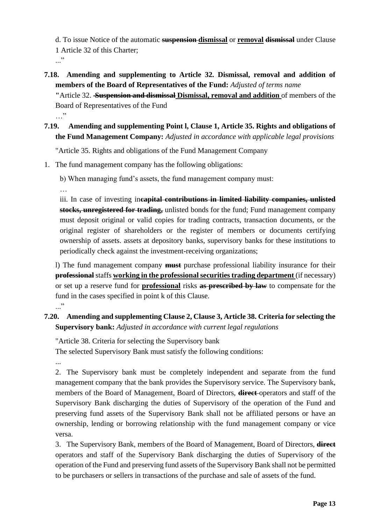d. To issue Notice of the automatic **suspension dismissal** or **removal dismissal** under Clause 1 Article 32 of this Charter;

..."

**7.18. Amending and supplementing to Article 32. Dismissal, removal and addition of members of the Board of Representatives of the Fund:** *Adjusted of terms name*

**"**Article 32. **Suspension and dismissal Dismissal, removal and addition** of members of the Board of Representatives of the Fund

 $\cdots$ 

**7.19. Amending and supplementing Point l, Clause 1, Article 35. Rights and obligations of the Fund Management Company:** *Adjusted in accordance with applicable legal provisions*

"Article 35. Rights and obligations of the Fund Management Company

1. The fund management company has the following obligations:

b) When managing fund's assets, the fund management company must:

…

iii. In case of investing in**capital contributions in limited liability companies, unlisted stocks, unregistered for trading,** unlisted bonds for the fund; Fund management company must deposit original or valid copies for trading contracts, transaction documents, or the original register of shareholders or the register of members or documents certifying ownership of assets. assets at depository banks, supervisory banks for these institutions to periodically check against the investment-receiving organizations;

l) The fund management company **must** purchase professional liability insurance for their **professional** staffs **working in the professional securities trading department** (if necessary) or set up a reserve fund for **professional** risks **as prescribed by law** to compensate for the fund in the cases specified in point k of this Clause.  $\cdot$ ... $\cdot$ 

# **7.20. Amending and supplementing Clause 2, Clause 3, Article 38. Criteria for selecting the Supervisory bank:** *Adjusted in accordance with current legal regulations*

"Article 38. Criteria for selecting the Supervisory bank The selected Supervisory Bank must satisfy the following conditions:

...

2. The Supervisory bank must be completely independent and separate from the fund management company that the bank provides the Supervisory service. The Supervisory bank, members of the Board of Management, Board of Directors, **direct** operators and staff of the Supervisory Bank discharging the duties of Supervisory of the operation of the Fund and preserving fund assets of the Supervisory Bank shall not be affiliated persons or have an ownership, lending or borrowing relationship with the fund management company or vice versa.

3. The Supervisory Bank, members of the Board of Management, Board of Directors, **direct**  operators and staff of the Supervisory Bank discharging the duties of Supervisory of the operation of the Fund and preserving fund assets of the Supervisory Bank shall not be permitted to be purchasers or sellers in transactions of the purchase and sale of assets of the fund.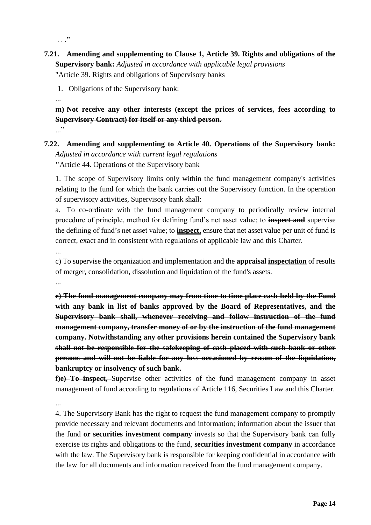$\cdot$  . . .  $\cdot$ 

**7.21. Amending and supplementing to Clause 1, Article 39. Rights and obligations of the Supervisory bank:** *Adjusted in accordance with applicable legal provisions* "Article 39. Rights and obligations of Supervisory banks

1. Obligations of the Supervisory bank:

...

**m) Not receive any other interests (except the prices of services, fees according to Supervisory Contract) for itself or any third person.**

..."

**7.22. Amending and supplementing to Article 40. Operations of the Supervisory bank:**  *Adjusted in accordance with current legal regulations* **"**Article 44. Operations of the Supervisory bank

1. The scope of Supervisory limits only within the fund management company's activities relating to the fund for which the bank carries out the Supervisory function. In the operation of supervisory activities, Supervisory bank shall:

a. To co-ordinate with the fund management company to periodically review internal procedure of principle, method for defining fund's net asset value; to **inspect and** supervise the defining of fund's net asset value; to **inspect,** ensure that net asset value per unit of fund is correct, exact and in consistent with regulations of applicable law and this Charter.

...

c) To supervise the organization and implementation and the **appraisal inspectation** of results of merger, consolidation, dissolution and liquidation of the fund's assets.

...

**e) The fund management company may from time to time place cash held by the Fund with any bank in list of banks approved by the Board of Representatives, and the Supervisory bank shall, whenever receiving and follow instruction of the fund management company, transfer money of or by the instruction of the fund management company. Notwithstanding any other provisions herein contained the Supervisory bank shall not be responsible for the safekeeping of cash placed with such bank or other persons and will not be liable for any loss occasioned by reason of the liquidation, bankruptcy or insolvency of such bank.**

**f)e) To inspect,** Supervise other activities of the fund management company in asset management of fund according to regulations of Article 116, Securities Law and this Charter.

...

4. The Supervisory Bank has the right to request the fund management company to promptly provide necessary and relevant documents and information; information about the issuer that the fund **or securities investment company** invests so that the Supervisory bank can fully exercise its rights and obligations to the fund, **securities investment company** in accordance with the law. The Supervisory bank is responsible for keeping confidential in accordance with the law for all documents and information received from the fund management company.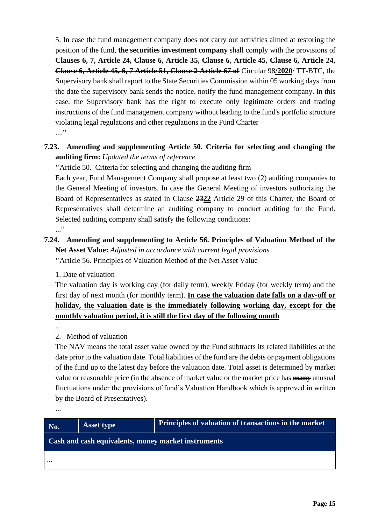5. In case the fund management company does not carry out activities aimed at restoring the position of the fund, **the securities investment company** shall comply with the provisions of **Clauses 6, 7, Article 24, Clause 6, Article 35, Clause 6, Article 45, Clause 6, Article 24, Clause 6, Article 45, 6, 7 Article 51, Clause 2 Article 67 of** Circular 98**/2020**/ TT-BTC, the Supervisory bank shall report to the State Securities Commission within 05 working days from the date the supervisory bank sends the notice. notify the fund management company. In this case, the Supervisory bank has the right to execute only legitimate orders and trading instructions of the fund management company without leading to the fund's portfolio structure violating legal regulations and other regulations in the Fund Charter ....<sup>,</sup>

# **7.23. Amending and supplementing Article 50. Criteria for selecting and changing the auditing firm:** *Updated the terms of reference*

**"**Article 50. Criteria for selecting and changing the auditing firm

Each year, Fund Management Company shall propose at least two (2) auditing companies to the General Meeting of investors. In case the General Meeting of investors authorizing the Board of Representatives as stated in Clause **2322** Article 29 of this Charter, the Board of Representatives shall determine an auditing company to conduct auditing for the Fund. Selected auditing company shall satisfy the following conditions: ..."

# **7.24. Amending and supplementing to Article 56. Principles of Valuation Method of the Net Asset Value:** *Adjusted in accordance with current legal provisions* **"**Article 56. Principles of Valuation Method of the Net Asset Value

1. Date of valuation

The valuation day is working day (for daily term), weekly Friday (for weekly term) and the first day of next month (for monthly term). **In case the valuation date falls on a day-off or holiday, the valuation date is the immediately following working day, except for the monthly valuation period, it is still the first day of the following month**

...

2. Method of valuation

The NAV means the total asset value owned by the Fund subtracts its related liabilities at the date prior to the valuation date. Total liabilities of the fund are the debts or payment obligations of the fund up to the latest day before the valuation date. Total asset is determined by market value or reasonable price (in the absence of market value or the market price has **many** unusual fluctuations under the provisions of fund's Valuation Handbook which is approved in written by the Board of Presentatives).

...

| No.                                                 | <b>Asset type</b> | <b>Principles of valuation of transactions in the market</b> |  |  |
|-----------------------------------------------------|-------------------|--------------------------------------------------------------|--|--|
| Cash and cash equivalents, money market instruments |                   |                                                              |  |  |
| $\cdots$                                            |                   |                                                              |  |  |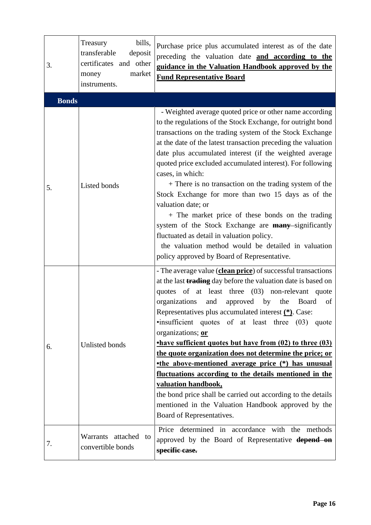| 3.           | bills,<br>Treasury<br>transferable<br>deposit<br>certificates and other<br>market<br>money<br>instruments. | Purchase price plus accumulated interest as of the date<br>preceding the valuation date and according to the<br>guidance in the Valuation Handbook approved by the<br><b>Fund Representative Board</b>                                                                                                                                                                                                                                                                                                                                                                                                                                                                                                                                                                                                                |
|--------------|------------------------------------------------------------------------------------------------------------|-----------------------------------------------------------------------------------------------------------------------------------------------------------------------------------------------------------------------------------------------------------------------------------------------------------------------------------------------------------------------------------------------------------------------------------------------------------------------------------------------------------------------------------------------------------------------------------------------------------------------------------------------------------------------------------------------------------------------------------------------------------------------------------------------------------------------|
| <b>Bonds</b> |                                                                                                            |                                                                                                                                                                                                                                                                                                                                                                                                                                                                                                                                                                                                                                                                                                                                                                                                                       |
| 5.           | Listed bonds                                                                                               | - Weighted average quoted price or other name according<br>to the regulations of the Stock Exchange, for outright bond<br>transactions on the trading system of the Stock Exchange<br>at the date of the latest transaction preceding the valuation<br>date plus accumulated interest (if the weighted average<br>quoted price excluded accumulated interest). For following<br>cases, in which:<br>+ There is no transaction on the trading system of the<br>Stock Exchange for more than two 15 days as of the<br>valuation date; or<br>+ The market price of these bonds on the trading<br>system of the Stock Exchange are <b>many</b> -significantly<br>fluctuated as detail in valuation policy.<br>the valuation method would be detailed in valuation<br>policy approved by Board of Representative.          |
| 6.           | Unlisted bonds                                                                                             | - The average value (clean price) of successful transactions<br>at the last <b>trading</b> day before the valuation date is based on<br>quotes of at least three (03) non-relevant quote<br>organizations<br>approved by<br>and<br>the<br>Board<br>of<br>Representatives plus accumulated interest (*). Case:<br>.insufficient quotes of at least three (03) quote<br>organizations; or<br><b>have sufficient quotes but have from (02) to three (03)</b><br>the quote organization does not determine the price; or<br><b>the above-mentioned average price (*) has unusual</b><br>fluctuations according to the details mentioned in the<br>valuation handbook,<br>the bond price shall be carried out according to the details<br>mentioned in the Valuation Handbook approved by the<br>Board of Representatives. |
| 7.           | Warrants attached to<br>convertible bonds                                                                  | Price determined in accordance with the methods<br>approved by the Board of Representative <b>depend on</b><br>specific case.                                                                                                                                                                                                                                                                                                                                                                                                                                                                                                                                                                                                                                                                                         |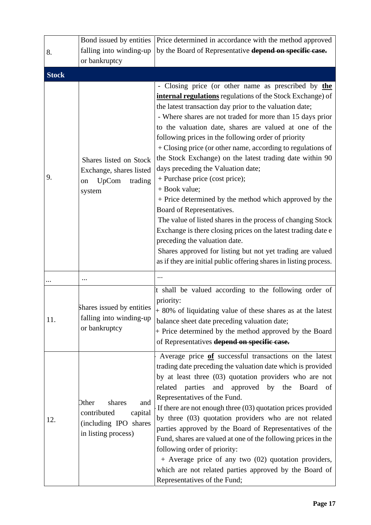|              | Bond issued by entities                                                                          | Price determined in accordance with the method approved                                                                                                                                                                                                                                                                                                                                                                                                                                                                                                                                                                                                                                                                                                                                                                                                                                                                                                                     |
|--------------|--------------------------------------------------------------------------------------------------|-----------------------------------------------------------------------------------------------------------------------------------------------------------------------------------------------------------------------------------------------------------------------------------------------------------------------------------------------------------------------------------------------------------------------------------------------------------------------------------------------------------------------------------------------------------------------------------------------------------------------------------------------------------------------------------------------------------------------------------------------------------------------------------------------------------------------------------------------------------------------------------------------------------------------------------------------------------------------------|
| 8.           | falling into winding-up                                                                          | by the Board of Representative depend on specific case.                                                                                                                                                                                                                                                                                                                                                                                                                                                                                                                                                                                                                                                                                                                                                                                                                                                                                                                     |
|              | or bankruptcy                                                                                    |                                                                                                                                                                                                                                                                                                                                                                                                                                                                                                                                                                                                                                                                                                                                                                                                                                                                                                                                                                             |
| <b>Stock</b> |                                                                                                  |                                                                                                                                                                                                                                                                                                                                                                                                                                                                                                                                                                                                                                                                                                                                                                                                                                                                                                                                                                             |
| 9.           | Shares listed on Stock<br>Exchange, shares listed<br>UpCom<br>trading<br>on<br>system            | - Closing price (or other name as prescribed by the<br>internal regulations regulations of the Stock Exchange) of<br>the latest transaction day prior to the valuation date;<br>- Where shares are not traded for more than 15 days prior<br>to the valuation date, shares are valued at one of the<br>following prices in the following order of priority<br>+ Closing price (or other name, according to regulations of<br>the Stock Exchange) on the latest trading date within 90<br>days preceding the Valuation date;<br>+ Purchase price (cost price);<br>$+$ Book value;<br>+ Price determined by the method which approved by the<br>Board of Representatives.<br>The value of listed shares in the process of changing Stock<br>Exchange is there closing prices on the latest trading date e<br>preceding the valuation date.<br>Shares approved for listing but not yet trading are valued<br>as if they are initial public offering shares in listing process. |
|              | $\cdots$                                                                                         |                                                                                                                                                                                                                                                                                                                                                                                                                                                                                                                                                                                                                                                                                                                                                                                                                                                                                                                                                                             |
| 11.          | Shares issued by entities<br>falling into winding-up<br>or bankruptcy                            | It shall be valued according to the following order of<br>priority:<br>+ 80% of liquidating value of these shares as at the latest<br>balance sheet date preceding valuation date;<br>+ Price determined by the method approved by the Board<br>of Representatives depend on specific case.                                                                                                                                                                                                                                                                                                                                                                                                                                                                                                                                                                                                                                                                                 |
| 12.          | Other<br>shares<br>and<br>contributed<br>capital<br>(including IPO shares<br>in listing process) | Average price of successful transactions on the latest<br>trading date preceding the valuation date which is provided<br>by at least three (03) quotation providers who are not<br>related parties and approved by the<br>Board<br>of<br>Representatives of the Fund.<br>If there are not enough three $(03)$ quotation prices provided<br>by three (03) quotation providers who are not related<br>parties approved by the Board of Representatives of the<br>Fund, shares are valued at one of the following prices in the<br>following order of priority:<br>+ Average price of any two (02) quotation providers,<br>which are not related parties approved by the Board of<br>Representatives of the Fund;                                                                                                                                                                                                                                                              |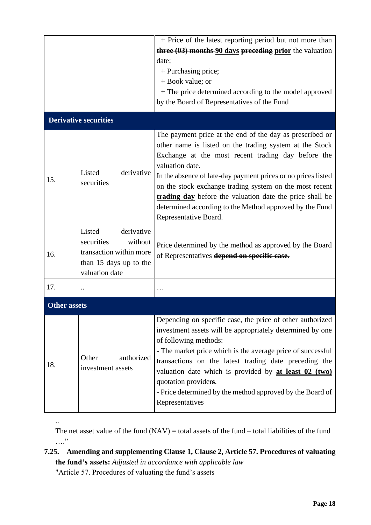|                     |                                                                                                                      | + Price of the latest reporting period but not more than                                                                                                                                                                                                                                                                                                                                                                                                                 |
|---------------------|----------------------------------------------------------------------------------------------------------------------|--------------------------------------------------------------------------------------------------------------------------------------------------------------------------------------------------------------------------------------------------------------------------------------------------------------------------------------------------------------------------------------------------------------------------------------------------------------------------|
|                     |                                                                                                                      | three (03) months 90 days preceding prior the valuation                                                                                                                                                                                                                                                                                                                                                                                                                  |
|                     |                                                                                                                      | date;                                                                                                                                                                                                                                                                                                                                                                                                                                                                    |
|                     |                                                                                                                      | + Purchasing price;                                                                                                                                                                                                                                                                                                                                                                                                                                                      |
|                     |                                                                                                                      | + Book value; or                                                                                                                                                                                                                                                                                                                                                                                                                                                         |
|                     |                                                                                                                      | + The price determined according to the model approved                                                                                                                                                                                                                                                                                                                                                                                                                   |
|                     |                                                                                                                      | by the Board of Representatives of the Fund                                                                                                                                                                                                                                                                                                                                                                                                                              |
|                     | <b>Derivative securities</b>                                                                                         |                                                                                                                                                                                                                                                                                                                                                                                                                                                                          |
| 15.                 | Listed<br>derivative<br>securities                                                                                   | The payment price at the end of the day as prescribed or<br>other name is listed on the trading system at the Stock<br>Exchange at the most recent trading day before the<br>valuation date.<br>In the absence of late-day payment prices or no prices listed<br>on the stock exchange trading system on the most recent<br>trading day before the valuation date the price shall be<br>determined according to the Method approved by the Fund<br>Representative Board. |
| 16.                 | derivative<br>Listed<br>securities<br>without<br>transaction within more<br>than 15 days up to the<br>valuation date | Price determined by the method as approved by the Board<br>of Representatives depend on specific case.                                                                                                                                                                                                                                                                                                                                                                   |
| 17.                 |                                                                                                                      |                                                                                                                                                                                                                                                                                                                                                                                                                                                                          |
| <b>Other assets</b> |                                                                                                                      |                                                                                                                                                                                                                                                                                                                                                                                                                                                                          |
| 18.                 | Other<br>authorized<br>investment assets                                                                             | Depending on specific case, the price of other authorized<br>investment assets will be appropriately determined by one<br>of following methods:<br>- The market price which is the average price of successful<br>transactions on the latest trading date preceding the<br>valuation date which is provided by at least 02 (two)<br>quotation providers.<br>- Price determined by the method approved by the Board of<br>Representatives                                 |

The net asset value of the fund  $(NAV) =$  total assets of the fund – total liabilities of the fund …."

# **7.25. Amending and supplementing Clause 1, Clause 2, Article 57. Procedures of valuating the fund's assets:** *Adjusted in accordance with applicable law*

"Article 57. Procedures of valuating the fund's assets

..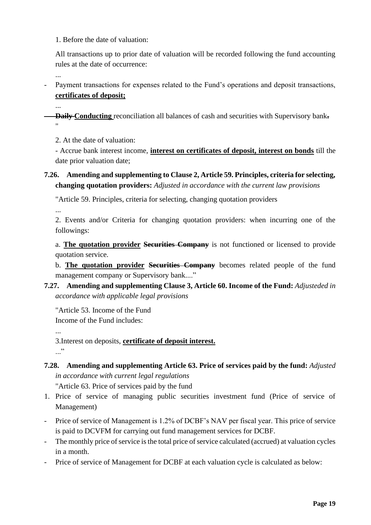1. Before the date of valuation:

All transactions up to prior date of valuation will be recorded following the fund accounting rules at the date of occurrence:

...

...

- Payment transactions for expenses related to the Fund's operations and deposit transactions, **certificates of deposit;**

- **Daily Conducting** reconciliation all balances of cash and securities with Supervisory bank**.** "

2. At the date of valuation:

- Accrue bank interest income, **interest on certificates of deposit, interest on bonds** till the date prior valuation date;

**7.26. Amending and supplementing to Clause 2, Article 59. Principles, criteria for selecting, changing quotation providers:** *Adjusted in accordance with the current law provisions*

"Article 59. Principles, criteria for selecting, changing quotation providers

...

2. Events and/or Criteria for changing quotation providers: when incurring one of the followings:

a. **The quotation provider Securities Company** is not functioned or licensed to provide quotation service.

b. **The quotation provider Securities Company** becomes related people of the fund management company or Supervisory bank...."

**7.27. Amending and supplementing Clause 3, Article 60. Income of the Fund:** *Adjusteded in accordance with applicable legal provisions*

"Article 53. Income of the Fund Income of the Fund includes:

...

3.Interest on deposits, **certificate of deposit interest.** ..."

**7.28. Amending and supplementing Article 63. Price of services paid by the fund:** *Adjusted in accordance with current legal regulations*

"Article 63. Price of services paid by the fund

- 1. Price of service of managing public securities investment fund (Price of service of Management)
- Price of service of Management is 1.2% of DCBF's NAV per fiscal year. This price of service is paid to DCVFM for carrying out fund management services for DCBF.
- The monthly price of service is the total price of service calculated (accrued) at valuation cycles in a month.
- Price of service of Management for DCBF at each valuation cycle is calculated as below: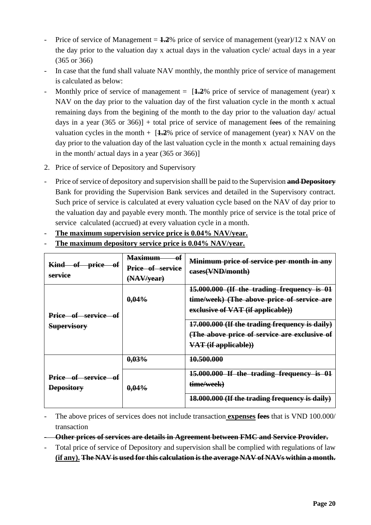- Price of service of Management  $= 1.2\%$  price of service of management (year)/12 x NAV on the day prior to the valuation day x actual days in the valuation cycle/ actual days in a year (365 or 366)
- In case that the fund shall valuate NAV monthly, the monthly price of service of management is calculated as below:
- Monthly price of service of management  $=$   $\left[1.2\% \right]$  price of service of management (year) x NAV on the day prior to the valuation day of the first valuation cycle in the month x actual remaining days from the begining of the month to the day prior to the valuation day/ actual days in a year  $(365 \text{ or } 366)$  + total price of service of management fees of the remaining valuation cycles in the month  $+$  [ $\pm 2\%$  price of service of management (year) x NAV on the day prior to the valuation day of the last valuation cycle in the month x actual remaining days in the month/ actual days in a year (365 or 366)]
- 2. Price of service of Depository and Supervisory
- Price of service of depository and supervision shalll be paid to the Supervision **and Depository** Bank for providing the Supervision Bank services and detailed in the Supervisory contract. Such price of service is calculated at every valuation cycle based on the NAV of day prior to the valuation day and payable every month. The monthly price of service is the total price of service calculated (accrued) at every valuation cycle in a month.
- The maximum supervision service price is  $0.04\%$  NAV/year.
- **The maximum depository service price is 0.04% NAV/year.**

| Kind of price of<br>service               | $\bf{0}$ f<br><b>Maximum</b><br>Price of service<br>(NAV/year) | Minimum price of service per month in any<br>eases(VND/month)                                                                                                                                                                                           |
|-------------------------------------------|----------------------------------------------------------------|---------------------------------------------------------------------------------------------------------------------------------------------------------------------------------------------------------------------------------------------------------|
| Price of service of<br><b>Supervisory</b> | $0,04\%$                                                       | 15.000.000 (If the trading frequency is 01<br>time/week) (The above price of service are<br>exclusive of VAT (if applicable))<br>17.000.000 (If the trading frequency is daily)<br>(The above price of service are exclusive of<br>VAT (if applicable)) |
|                                           | 0.03%                                                          | 10.500.000                                                                                                                                                                                                                                              |
| Price of service of<br><b>Depository</b>  | $0.04\%$                                                       | 15.000.000 If the trading frequency is 01<br>time/week)<br>18.000.000 (If the trading frequency is daily)                                                                                                                                               |

- The above prices of services does not include transaction **expenses fees** that is VND 100.000/ transaction
- **Other prices of services are details in Agreement between FMC and Service Provider.**
- Total price of service of Depository and supervision shall be complied with regulations of law **(if any). The NAV is used for this calculation is the average NAV of NAVs within a month.**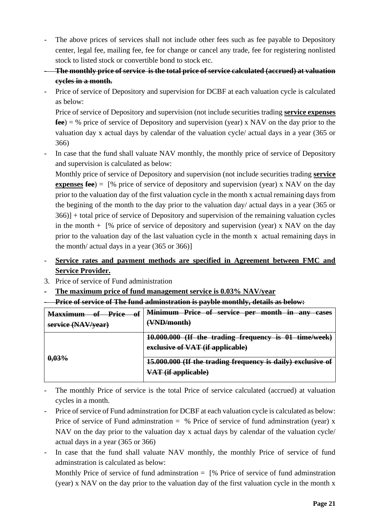- The above prices of services shall not include other fees such as fee payable to Depository center, legal fee, mailing fee, fee for change or cancel any trade, fee for registering nonlisted stock to listed stock or convertible bond to stock etc.
- **The monthly price of service is the total price of service calculated (accrued) at valuation cycles in a month.**
- Price of service of Depository and supervision for DCBF at each valuation cycle is calculated as below:

Price of service of Depository and supervision (not include securities trading **service expenses fee**) = % price of service of Depository and supervision (year) x NAV on the day prior to the valuation day x actual days by calendar of the valuation cycle/ actual days in a year (365 or 366)

In case that the fund shall valuate NAV monthly, the monthly price of service of Depository and supervision is calculated as below:

Monthly price of service of Depository and supervision (not include securities trading **service expenses fee**) = [% price of service of depository and supervision (year) x NAV on the day prior to the valuation day of the first valuation cycle in the month x actual remaining days from the begining of the month to the day prior to the valuation day/ actual days in a year (365 or 366)] + total price of service of Depository and supervision of the remaining valuation cycles in the month  $+$  [% price of service of depository and supervision (year) x NAV on the day prior to the valuation day of the last valuation cycle in the month x actual remaining days in the month/ actual days in a year (365 or 366)]

- **Service rates and payment methods are specified in Agreement between FMC and Service Provider.**
- 3. Price of service of Fund administration
- **The maximum price of fund management service is 0.03% NAV/year**

- **Price of service of The fund adminstration is payble monthly, details as below:**

| $\theta$ f<br><del>Price</del><br>оf<br><b>Maxximum</b> | Minimum Price of service per month in any<br>cases          |
|---------------------------------------------------------|-------------------------------------------------------------|
| service (NAV/year)                                      | (VND/month)                                                 |
| 0,03%                                                   | 10.000.000 (If the trading frequency is 01 time/week)       |
|                                                         | exclusive of VAT (if applicable)                            |
|                                                         | 15.000.000 (If the trading frequency is daily) exclusive of |
|                                                         | <del>VAT (if applicable)</del>                              |

- The monthly Price of service is the total Price of service calculated (accrued) at valuation cycles in a month.
- Price of service of Fund adminstration for DCBF at each valuation cycle is calculated as below: Price of service of Fund administration  $=$  % Price of service of fund administration (year) x NAV on the day prior to the valuation day x actual days by calendar of the valuation cycle/ actual days in a year (365 or 366)
- In case that the fund shall valuate NAV monthly, the monthly Price of service of fund adminstration is calculated as below:

Monthly Price of service of fund adminitration  $=$  [% Price of service of fund adminitration (year) x NAV on the day prior to the valuation day of the first valuation cycle in the month x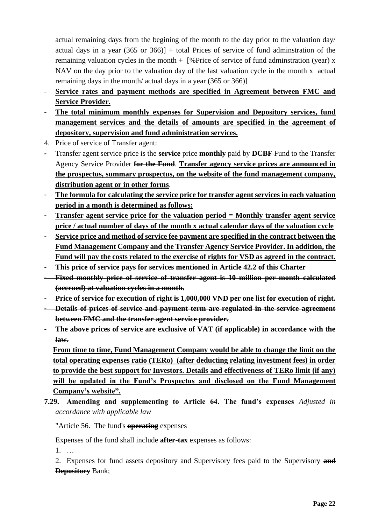actual remaining days from the begining of the month to the day prior to the valuation day/ actual days in a year  $(365 \text{ or } 366)$  + total Prices of service of fund administration of the remaining valuation cycles in the month  $+$  [% Price of service of fund adminstration (year) x NAV on the day prior to the valuation day of the last valuation cycle in the month x actual remaining days in the month/ actual days in a year (365 or 366)]

- Service rates and payment methods are specified in Agreement between FMC and **Service Provider.**
- **The total minimum monthly expenses for Supervision and Depository services, fund management services and the details of amounts are specified in the agreement of depository, supervision and fund administration services.**
- 4. Price of service of Transfer agent:
- Transfer agent service price is the **service** price **monthly** paid by **DCBF** Fund to the Transfer Agency Service Provider **for the Fund**. **Transfer agency service prices are announced in the prospectus, summary prospectus, on the website of the fund management company, distribution agent or in other forms**.
- **The formula for calculating the service price for transfer agent services in each valuation period in a month is determined as follows:**
- **Transfer agent service price for the valuation period = Monthly transfer agent service price / actual number of days of the month x actual calendar days of the valuation cycle**
- **Service price and method of service fee payment are specified in the contract between the Fund Management Company and the Transfer Agency Service Provider. In addition, the Fund will pay the costs related to the exercise of rights for VSD as agreed in the contract.**
- **This price of service pays for services mentioned in Article 42.2 of this Charter**
- **Fixed monthly price of service of transfer agent is 10 million per month calculated (accrued) at valuation cycles in a month.**
- **Price of service for execution of right is 1,000,000 VND per one list for execution of right.**
- **Details of prices of service and payment term are regulated in the service agreement between FMC and the transfer agent service provider.**
- **The above prices of service are exclusive of VAT (if applicable) in accordance with the law.**

**From time to time, Fund Management Company would be able to change the limit on the total operating expenses ratio (TERo) (after deducting relating investment fees) in order to provide the best support for Investors. Details and effectiveness of TERo limit (if any) will be updated in the Fund's Prospectus and disclosed on the Fund Management Company's website".**

**7.29. Amending and supplementing to Article 64. The fund's expenses** *Adjusted in accordance with applicable law*

"Article 56. The fund's **operating** expenses

Expenses of the fund shall include **after-tax** expenses as follows:

1. …

2. Expenses for fund assets depository and Supervisory fees paid to the Supervisory **and Depository** Bank;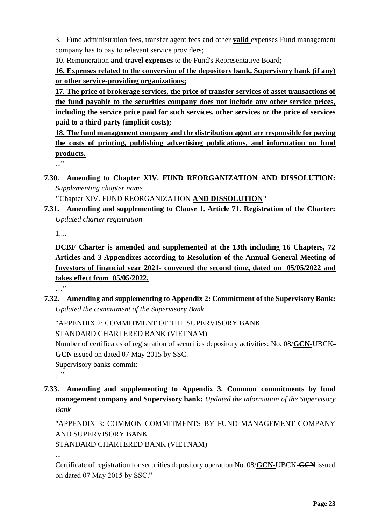3. Fund administration fees, transfer agent fees and other **valid** expenses Fund management company has to pay to relevant service providers;

10. Remuneration **and travel expenses** to the Fund's Representative Board;

**16. Expenses related to the conversion of the depository bank, Supervisory bank (if any) or other service-providing organizations;**

**17. The price of brokerage services, the price of transfer services of asset transactions of the fund payable to the securities company does not include any other service prices, including the service price paid for such services. other services or the price of services paid to a third party (implicit costs);**

**18. The fund management company and the distribution agent are responsible for paying the costs of printing, publishing advertising publications, and information on fund products.**

 $\cdot$ ..."

**7.30. Amending to Chapter XIV. FUND REORGANIZATION AND DISSOLUTION:**  *Supplementing chapter name*

**"**Chapter XIV. FUND REORGANIZATION **AND DISSOLUTION"**

**7.31. Amending and supplementing to Clause 1, Article 71. Registration of the Charter:**  *Updated charter registration*

1....

**DCBF Charter is amended and supplemented at the 13th including 16 Chapters, 72 Articles and 3 Appendixes according to Resolution of the Annual General Meeting of Investors of financial year 2021- convened the second time, dated on 05/05/2022 and takes effect from 05/05/2022.**

…"

**7.32. Amending and supplementing to Appendix 2: Commitment of the Supervisory Bank:**  *Updated the commitment of the Supervisory Bank*

"APPENDIX 2: COMMITMENT OF THE SUPERVISORY BANK STANDARD CHARTERED BANK (VIETNAM)

Number of certificates of registration of securities depository activities: No. 08/**GCN-**UBCK**-GCN** issued on dated 07 May 2015 by SSC.

Supervisory banks commit:

..."

**7.33. Amending and supplementing to Appendix 3. Common commitments by fund management company and Supervisory bank:** *Updated the information of the Supervisory Bank*

"APPENDIX 3: COMMON COMMITMENTS BY FUND MANAGEMENT COMPANY AND SUPERVISORY BANK

STANDARD CHARTERED BANK (VIETNAM)

...

Certificate of registration for securities depository operation No. 08/**GCN-**UBCK**-GCN** issued on dated 07 May 2015 by SSC."